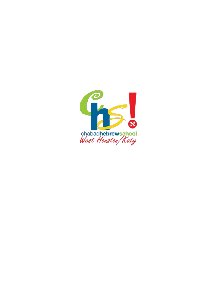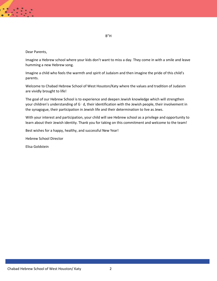#### Dear Parents,

Imagine a Hebrew school where your kids don't want to miss a day. They come in with a smile and leave humming a new Hebrew song.

Imagine a child who feels the warmth and spirit of Judaism and then imagine the pride of this child's parents.

Welcome to Chabad Hebrew School of West Houston/Katy where the values and tradition of Judaism are vividly brought to life!

The goal of our Hebrew School is to experience and deepen Jewish knowledge which will strengthen your children's understanding of G‑ d, their identification with the Jewish people, their involvement in the synagogue, their participation in Jewish life and their determination to live as Jews.

With your interest and participation, your child will see Hebrew school as a privilege and opportunity to learn about their Jewish identity. Thank you for taking on this commitment and welcome to the team!

Best wishes for a happy, healthy, and successful New Year!

Hebrew School Director

Elisa Goldstein

B"H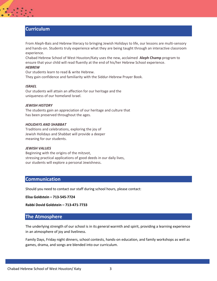## **Curriculum**

From Aleph-Bais and Hebrew literacy to bringing Jewish Holidays to life, our lessons are multi-sensory and hands-on. Students truly experience what they are being taught through an interactive classroom experience.

Chabad Hebrew School of West Houston/Katy uses the new, acclaimed **Aleph Champ** program to ensure that your child will read fluently at the end of his/her Hebrew School experience.

#### *HEBREW*

Our students learn to read & write Hebrew. They gain confidence and familiarity with the Siddur-Hebrew Prayer Book.

#### *ISRAEL*

Our students will attain an affection for our heritage and the uniqueness of our homeland Israel.

#### *JEWISH HISTORY*

The students gain an appreciation of our heritage and culture that has been preserved throughout the ages.

#### *HOLIDAYS AND SHABBAT*

Traditions and celebrations, exploring the joy of Jewish Holidays and Shabbat will provide a deeper meaning for our students.

#### *JEWISH VALUES*

Beginning with the origins of the mitzvot, stressing practical applications of good deeds in our daily lives, our students will explore a personal Jewishness.

#### **Communication**

Should you need to contact our staff during school hours, please contact:

**Elisa Goldstein – 713-545-7724**

**Rabbi Dovid Goldstein – 713-471-7733**

### **The Atmosphere**

The underlying strength of our school is in its general warmth and spirit, providing a learning experience in an atmosphere of joy and liveliness.

Family Days, Friday night dinners, school contests, hands-on education, and family workshops as well as games, drama, and songs are blended into our curriculum.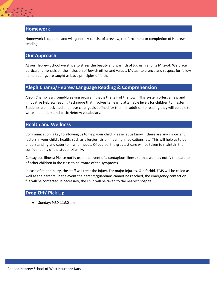## **Homework**

Homework is optional and will generally consist of a review, reinforcement or completion of Hebrew reading.

### **Our Approach**

At our Hebrew School we strive to stress the beauty and warmth of Judaism and its Mitzvot. We place particular emphasis on the inclusion of Jewish ethics and values. Mutual tolerance and respect for fellow human beings are taught as basic principles of faith.

## **Aleph Champ/Hebrew Language Reading & Comprehension**

Aleph Champ is a ground-breaking program that is the talk of the town. This system offers a new and innovative Hebrew reading technique that Involves ten easily attainable levels for children to master. Students are motivated and have clear goals defined for them. In addition to reading they will be able to write and understand basic Hebrew vocabulary.

## **Health and Wellness**

Communication is key to allowing us to help your child. Please let us know if there are any important factors in your child's health, such as allergies, vision, hearing, medications, etc. This will help us to be understanding and cater to his/her needs. Of course, the greatest care will be taken to maintain the confidentiality of the student/family.

Contagious Illness: Please notify us in the event of a contagious illness so that we may notify the parents of other children in the class to be aware of the symptoms.

In case of minor injury, the staff will treat the injury. For major injuries, G-d forbid, EMS will be called as well as the parents. In the event the parents/guardians cannot be reached, the emergency contact on file will be contacted. If necessary, the child will be taken to the nearest hospital.

## **Drop Off/ Pick Up**

● Sunday: 9:30-11:30 am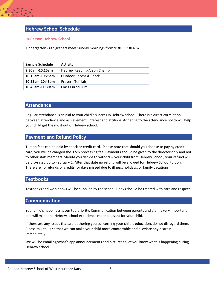# **Hebrew School Schedule**

#### **In-Person Hebrew School**

Kindergarten - 6th graders meet Sunday mornings from 9:30–11:30 a.m.

| Sample Schedule    | <b>Activity</b>            |
|--------------------|----------------------------|
| $9:30$ am-10:15am  | Hebrew Reading-Aleph Champ |
| $10:15$ am-10:25am | Outdoor Recess & Snack     |
| 10:25am-10:45am    | Prayer - Tefillah          |
| 10:45am-11:30am    | Class Curriculum           |

### **Attendance**

Regular attendance is crucial to your child's success in Hebrew school. There is a direct correlation between attendance and achievement, interest and attitude. Adhering to the attendance policy will help your child get the most out of Hebrew school.

#### **Payment and Refund Policy**

Tuition fees can be paid by check or credit card. Please note that should you choose to pay by credit card, you will be charged the 3.5% processing fee. Payments should be given to the director only and not to other staff members. Should you decide to withdraw your child from Hebrew School, your refund will be pro-rated up to February 1. After that date no refund will be allowed for Hebrew School tuition. There are no refunds or credits for days missed due to illness, holidays, or family vacations.

### **Textbooks**

Textbooks and workbooks will be supplied by the school. Books should be treated with care and respect.

#### **Communication**

Your child's happiness is our top priority. Communication between parents and staff is very important and will make the Hebrew school experience more pleasant for your child.

If there are any issues that are bothering you concerning your child's education, do not disregard them. Please talk to us so that we can make your child more comfortable and alleviate any distress immediately.

We will be emailing/what's app announcements and pictures to let you know what is happening during Hebrew school.